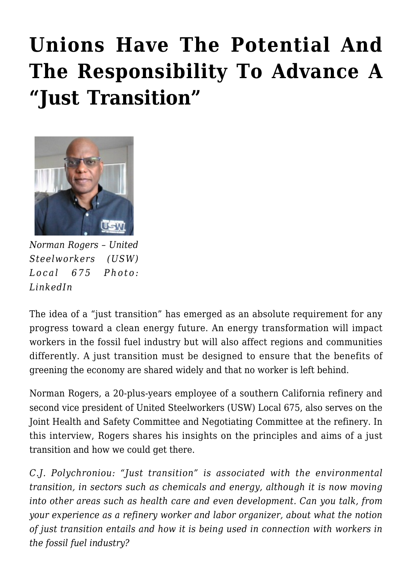## **[Unions Have The Potential And](https://rozenbergquarterly.com/unions-have-the-potential-and-the-responsibility-to-advance-a-just-transition/) [The Responsibility To Advance A](https://rozenbergquarterly.com/unions-have-the-potential-and-the-responsibility-to-advance-a-just-transition/) ["Just Transition"](https://rozenbergquarterly.com/unions-have-the-potential-and-the-responsibility-to-advance-a-just-transition/)**



*Norman Rogers – United Steelworkers (USW) Local 675 Photo: LinkedIn*

The idea of a "just transition" has emerged as an absolute requirement for any progress toward a clean energy future. An energy transformation will impact workers in the fossil fuel industry but will also affect regions and communities differently. A just transition must be designed to ensure that the benefits of greening the economy are shared widely and that no worker is left behind.

Norman Rogers, a 20-plus-years employee of a southern California refinery and second vice president of United Steelworkers (USW) Local 675, also serves on the Joint Health and Safety Committee and Negotiating Committee at the refinery. In this interview, Rogers shares his insights on the principles and aims of a just transition and how we could get there.

*C.J. Polychroniou: "Just transition" is associated with the environmental transition, in sectors such as chemicals and energy, although it is now moving into other areas such as health care and even development. Can you talk, from your experience as a refinery worker and labor organizer, about what the notion of just transition entails and how it is being used in connection with workers in the fossil fuel industry?*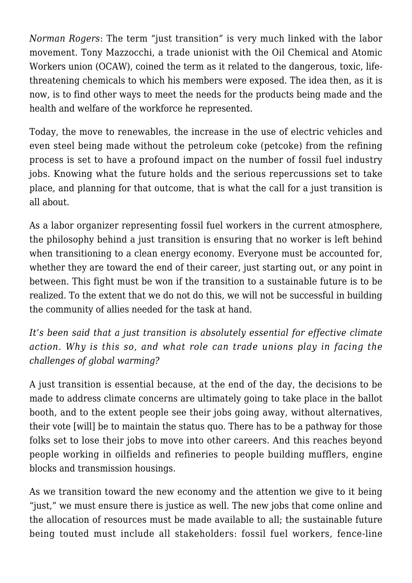*Norman Rogers*: The term "just transition" is very much linked with the labor movement. Tony Mazzocchi, a trade unionist with the Oil Chemical and Atomic Workers union (OCAW), coined the term as it related to the dangerous, toxic, lifethreatening chemicals to which his members were exposed. The idea then, as it is now, is to find other ways to meet the needs for the products being made and the health and welfare of the workforce he represented.

Today, the move to renewables, the increase in the use of electric vehicles and even steel being made without the petroleum coke (petcoke) from the refining process is set to have a profound impact on the number of fossil fuel industry jobs. Knowing what the future holds and the serious repercussions set to take place, and planning for that outcome, that is what the call for a just transition is all about.

As a labor organizer representing fossil fuel workers in the current atmosphere, the philosophy behind a just transition is ensuring that no worker is left behind when transitioning to a clean energy economy. Everyone must be accounted for, whether they are toward the end of their career, just starting out, or any point in between. This fight must be won if the transition to a sustainable future is to be realized. To the extent that we do not do this, we will not be successful in building the community of allies needed for the task at hand.

*It's been said that a just transition is absolutely essential for effective climate action. Why is this so, and what role can trade unions play in facing the challenges of global warming?*

A just transition is essential because, at the end of the day, the decisions to be made to address climate concerns are ultimately going to take place in the ballot booth, and to the extent people see their jobs going away, without alternatives, their vote [will] be to maintain the status quo. There has to be a pathway for those folks set to lose their jobs to move into other careers. And this reaches beyond people working in oilfields and refineries to people building mufflers, engine blocks and transmission housings.

As we transition toward the new economy and the attention we give to it being "just," we must ensure there is justice as well. The new jobs that come online and the allocation of resources must be made available to all; the sustainable future being touted must include all stakeholders: fossil fuel workers, fence-line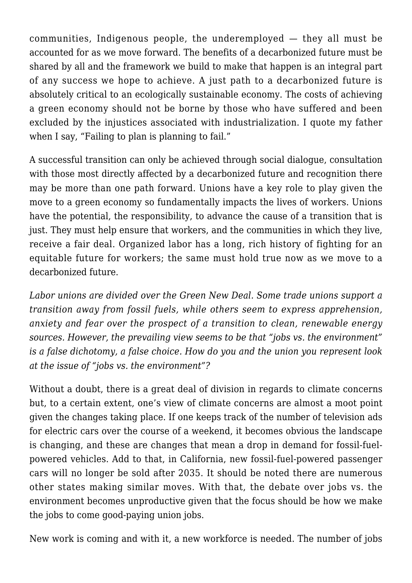communities, Indigenous people, the underemployed — they all must be accounted for as we move forward. The benefits of a decarbonized future must be shared by all and the framework we build to make that happen is an integral part of any success we hope to achieve. A just path to a decarbonized future is absolutely critical to an ecologically sustainable economy. The costs of achieving a green economy should not be borne by those who have suffered and been excluded by the injustices associated with industrialization. I quote my father when I say, "Failing to plan is planning to fail."

A successful transition can only be achieved through social dialogue, consultation with those most directly affected by a decarbonized future and recognition there may be more than one path forward. Unions have a key role to play given the move to a green economy so fundamentally impacts the lives of workers. Unions have the potential, the responsibility, to advance the cause of a transition that is just. They must help ensure that workers, and the communities in which they live, receive a fair deal. Organized labor has a long, rich history of fighting for an equitable future for workers; the same must hold true now as we move to a decarbonized future.

*Labor unions are divided over the Green New Deal. Some trade unions support a transition away from fossil fuels, while others seem to express apprehension, anxiety and fear over the prospect of a transition to clean, renewable energy sources. However, the prevailing view seems to be that "jobs vs. the environment" is a false dichotomy, a false choice. How do you and the union you represent look at the issue of "jobs vs. the environment"?*

Without a doubt, there is a great deal of division in regards to climate concerns but, to a certain extent, one's view of climate concerns are almost a moot point given the changes taking place. If one keeps track of the number of television ads for electric cars over the course of a weekend, it becomes obvious the landscape is changing, and these are changes that mean a drop in demand for fossil-fuelpowered vehicles. Add to that, in California, new fossil-fuel-powered passenger cars will no longer be sold after 2035. It should be noted there are numerous other states making similar moves. With that, the debate over jobs vs. the environment becomes unproductive given that the focus should be how we make the jobs to come good-paying union jobs.

New work is coming and with it, a new workforce is needed. The number of jobs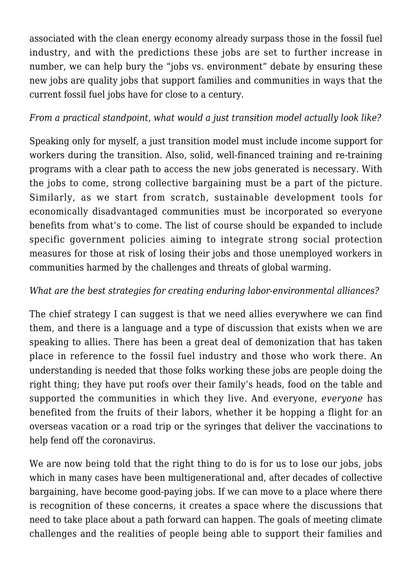associated with the clean energy economy already surpass those in the fossil fuel industry, and with the predictions these jobs are set to further increase in number, we can help bury the "jobs vs. environment" debate by ensuring these new jobs are quality jobs that support families and communities in ways that the current fossil fuel jobs have for close to a century.

## *From a practical standpoint, what would a just transition model actually look like?*

Speaking only for myself, a just transition model must include income support for workers during the transition. Also, solid, well-financed training and re-training programs with a clear path to access the new jobs generated is necessary. With the jobs to come, strong collective bargaining must be a part of the picture. Similarly, as we start from scratch, sustainable development tools for economically disadvantaged communities must be incorporated so everyone benefits from what's to come. The list of course should be expanded to include specific government policies aiming to integrate strong social protection measures for those at risk of losing their jobs and those unemployed workers in communities harmed by the challenges and threats of global warming.

## *What are the best strategies for creating enduring labor-environmental alliances?*

The chief strategy I can suggest is that we need allies everywhere we can find them, and there is a language and a type of discussion that exists when we are speaking to allies. There has been a great deal of demonization that has taken place in reference to the fossil fuel industry and those who work there. An understanding is needed that those folks working these jobs are people doing the right thing; they have put roofs over their family's heads, food on the table and supported the communities in which they live. And everyone, *everyone* has benefited from the fruits of their labors, whether it be hopping a flight for an overseas vacation or a road trip or the syringes that deliver the vaccinations to help fend off the coronavirus.

We are now being told that the right thing to do is for us to lose our jobs, jobs which in many cases have been multigenerational and, after decades of collective bargaining, have become good-paying jobs. If we can move to a place where there is recognition of these concerns, it creates a space where the discussions that need to take place about a path forward can happen. The goals of meeting climate challenges and the realities of people being able to support their families and